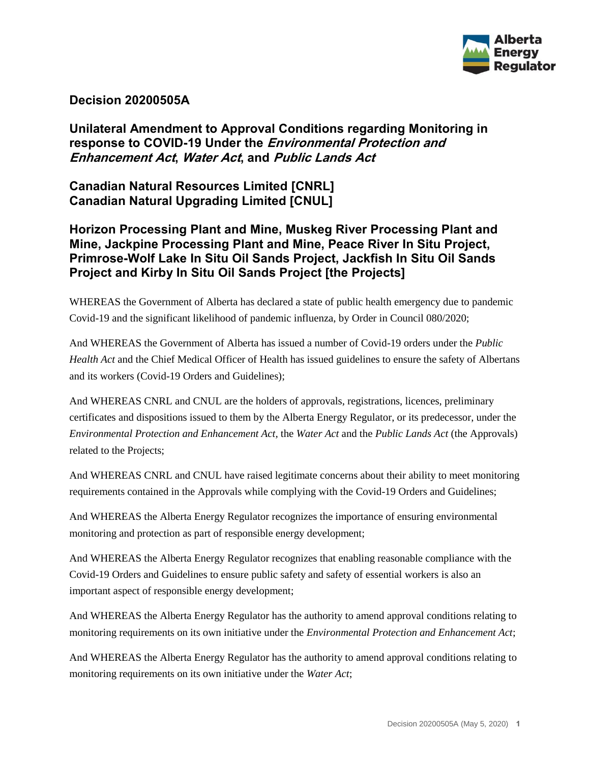

## **Decision 20200505A**

# **Unilateral Amendment to Approval Conditions regarding Monitoring in response to COVID-19 Under the Environmental Protection and Enhancement Act, Water Act, and Public Lands Act**

**Canadian Natural Resources Limited [CNRL] Canadian Natural Upgrading Limited [CNUL]**

## **Horizon Processing Plant and Mine, Muskeg River Processing Plant and Mine, Jackpine Processing Plant and Mine, Peace River In Situ Project, Primrose-Wolf Lake In Situ Oil Sands Project, Jackfish In Situ Oil Sands Project and Kirby In Situ Oil Sands Project [the Projects]**

WHEREAS the Government of Alberta has declared a state of public health emergency due to pandemic Covid-19 and the significant likelihood of pandemic influenza, by Order in Council 080/2020;

And WHEREAS the Government of Alberta has issued a number of Covid-19 orders under the *Public Health Act* and the Chief Medical Officer of Health has issued guidelines to ensure the safety of Albertans and its workers (Covid-19 Orders and Guidelines);

And WHEREAS CNRL and CNUL are the holders of approvals, registrations, licences, preliminary certificates and dispositions issued to them by the Alberta Energy Regulator, or its predecessor, under the *Environmental Protection and Enhancement Act,* the *Water Act* and the *Public Lands Act* (the Approvals) related to the Projects;

And WHEREAS CNRL and CNUL have raised legitimate concerns about their ability to meet monitoring requirements contained in the Approvals while complying with the Covid-19 Orders and Guidelines;

And WHEREAS the Alberta Energy Regulator recognizes the importance of ensuring environmental monitoring and protection as part of responsible energy development;

And WHEREAS the Alberta Energy Regulator recognizes that enabling reasonable compliance with the Covid-19 Orders and Guidelines to ensure public safety and safety of essential workers is also an important aspect of responsible energy development;

And WHEREAS the Alberta Energy Regulator has the authority to amend approval conditions relating to monitoring requirements on its own initiative under the *Environmental Protection and Enhancement Act*;

And WHEREAS the Alberta Energy Regulator has the authority to amend approval conditions relating to monitoring requirements on its own initiative under the *Water Act*;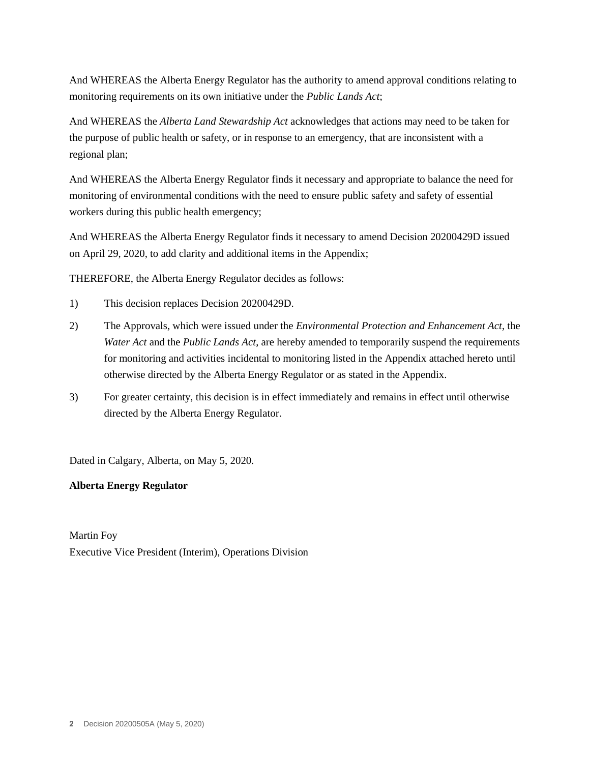And WHEREAS the Alberta Energy Regulator has the authority to amend approval conditions relating to monitoring requirements on its own initiative under the *Public Lands Act*;

And WHEREAS the *Alberta Land Stewardship Act* acknowledges that actions may need to be taken for the purpose of public health or safety, or in response to an emergency, that are inconsistent with a regional plan;

And WHEREAS the Alberta Energy Regulator finds it necessary and appropriate to balance the need for monitoring of environmental conditions with the need to ensure public safety and safety of essential workers during this public health emergency;

And WHEREAS the Alberta Energy Regulator finds it necessary to amend Decision 20200429D issued on April 29, 2020, to add clarity and additional items in the Appendix;

THEREFORE, the Alberta Energy Regulator decides as follows:

- 1) This decision replaces Decision 20200429D.
- 2) The Approvals, which were issued under the *Environmental Protection and Enhancement Act*, the *Water Act* and the *Public Lands Act*, are hereby amended to temporarily suspend the requirements for monitoring and activities incidental to monitoring listed in the Appendix attached hereto until otherwise directed by the Alberta Energy Regulator or as stated in the Appendix.
- 3) For greater certainty, this decision is in effect immediately and remains in effect until otherwise directed by the Alberta Energy Regulator.

Dated in Calgary, Alberta, on May 5, 2020.

### **Alberta Energy Regulator**

Martin Foy Executive Vice President (Interim), Operations Division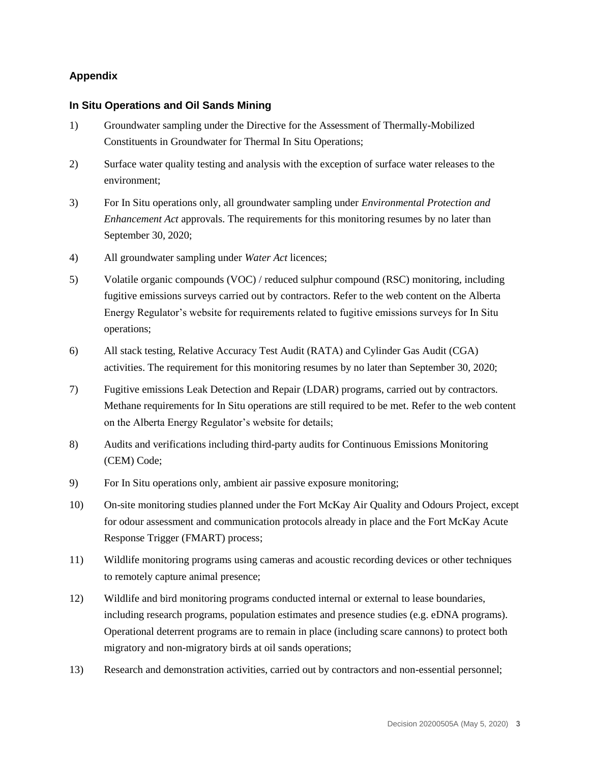### **Appendix**

#### **In Situ Operations and Oil Sands Mining**

- 1) Groundwater sampling under the Directive for the Assessment of Thermally-Mobilized Constituents in Groundwater for Thermal In Situ Operations;
- 2) Surface water quality testing and analysis with the exception of surface water releases to the environment;
- 3) For In Situ operations only, all groundwater sampling under *Environmental Protection and Enhancement Act* approvals. The requirements for this monitoring resumes by no later than September 30, 2020;
- 4) All groundwater sampling under *Water Act* licences;
- 5) Volatile organic compounds (VOC) / reduced sulphur compound (RSC) monitoring, including fugitive emissions surveys carried out by contractors. Refer to the web content on the Alberta Energy Regulator's website for requirements related to fugitive emissions surveys for In Situ operations;
- 6) All stack testing, Relative Accuracy Test Audit (RATA) and Cylinder Gas Audit (CGA) activities. The requirement for this monitoring resumes by no later than September 30, 2020;
- 7) Fugitive emissions Leak Detection and Repair (LDAR) programs, carried out by contractors. Methane requirements for In Situ operations are still required to be met. Refer to the web content on the Alberta Energy Regulator's website for details;
- 8) Audits and verifications including third-party audits for Continuous Emissions Monitoring (CEM) Code;
- 9) For In Situ operations only, ambient air passive exposure monitoring;
- 10) On-site monitoring studies planned under the Fort McKay Air Quality and Odours Project, except for odour assessment and communication protocols already in place and the Fort McKay Acute Response Trigger (FMART) process;
- 11) Wildlife monitoring programs using cameras and acoustic recording devices or other techniques to remotely capture animal presence;
- 12) Wildlife and bird monitoring programs conducted internal or external to lease boundaries, including research programs, population estimates and presence studies (e.g. eDNA programs). Operational deterrent programs are to remain in place (including scare cannons) to protect both migratory and non-migratory birds at oil sands operations;
- 13) Research and demonstration activities, carried out by contractors and non-essential personnel;